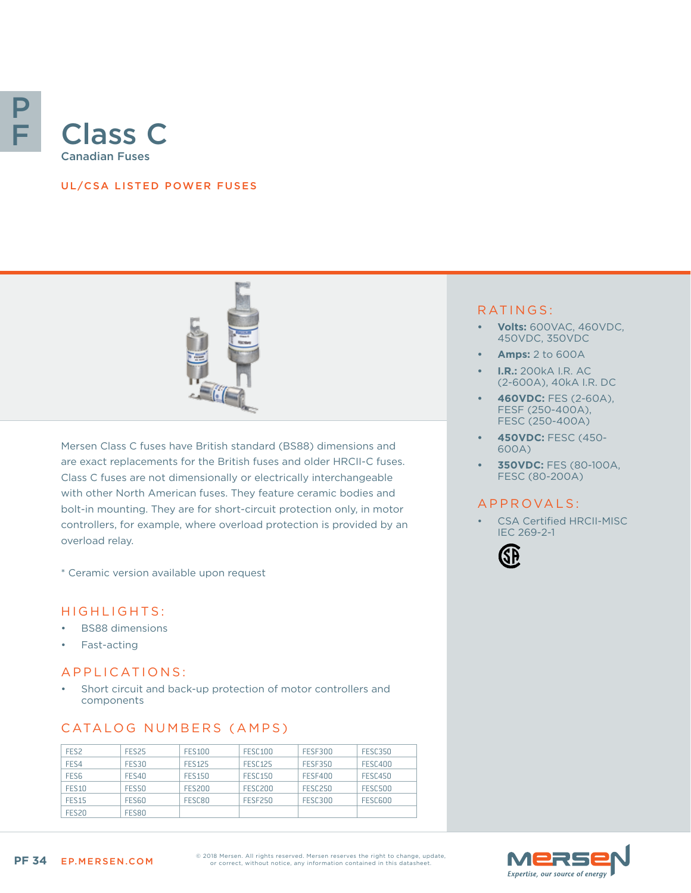

## UL/CSA LISTED POWER FUSES



Mersen Class C fuses have British standard (BS88) dimensions and are exact replacements for the British fuses and older HRCII-C fuses. Class C fuses are not dimensionally or electrically interchangeable with other North American fuses. They feature ceramic bodies and bolt-in mounting. They are for short-circuit protection only, in motor controllers, for example, where overload protection is provided by an overload relay.

\* Ceramic version available upon request

### HIGHLIGHTS:

- BS88 dimensions
- Fast-acting

## APPLICATIONS:

Short circuit and back-up protection of motor controllers and components

## CATALOG NUMBERS (AMPS)

| FES <sub>2</sub>  | FES <sub>25</sub> | <b>FES100</b> | <b>FESC100</b> | <b>FESE300</b> | <b>FESC350</b> |
|-------------------|-------------------|---------------|----------------|----------------|----------------|
| FES4              | <b>FES30</b>      | <b>FFS125</b> | FESC125        | <b>FESE350</b> | FESC400        |
| FES <sub>6</sub>  | <b>FES40</b>      | <b>FES150</b> | <b>FESC150</b> | <b>FESF400</b> | FESC450        |
| <b>FES10</b>      | <b>FES50</b>      | <b>FES200</b> | FESC200        | <b>FESC250</b> | <b>FESC500</b> |
| <b>FES15</b>      | FES60             | FESC80        | <b>FESE250</b> | <b>FESC300</b> | FESC600        |
| FES <sub>20</sub> | <b>FES80</b>      |               |                |                |                |

#### RATINGS:

- **• Volts:** 600VAC, 460VDC, 450VDC, 350VDC
- **• Amps:** 2 to 600A
- **• I.R.:** 200kA I.R. AC (2-600A), 40kA I.R. DC
- **• 460VDC:** FES (2-60A), FESF (250-400A), FESC (250-400A)
- **• 450VDC:** FESC (450- 600A)
- **• 350VDC:** FES (80-100A, FESC (80-200A)

### A P P R O V A L S :

CSA Certified HRCII-MISC IEC 269-2-1